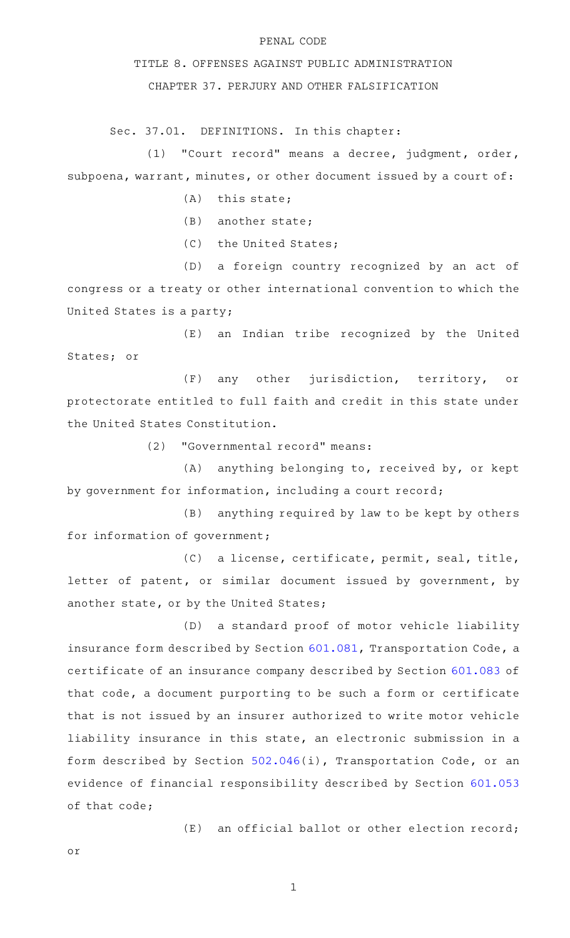## PENAL CODE

TITLE 8. OFFENSES AGAINST PUBLIC ADMINISTRATION

CHAPTER 37. PERJURY AND OTHER FALSIFICATION

Sec. 37.01. DEFINITIONS. In this chapter:

(1) "Court record" means a decree, judgment, order, subpoena, warrant, minutes, or other document issued by a court of:

- $(A)$  this state;
- $(B)$  another state;
- (C) the United States;

(D) a foreign country recognized by an act of congress or a treaty or other international convention to which the United States is a party;

(E) an Indian tribe recognized by the United States; or

(F) any other jurisdiction, territory, or protectorate entitled to full faith and credit in this state under the United States Constitution.

(2) "Governmental record" means:

 $(A)$  anything belonging to, received by, or kept by government for information, including a court record;

(B) anything required by law to be kept by others for information of government;

(C) a license, certificate, permit, seal, title, letter of patent, or similar document issued by government, by another state, or by the United States;

(D) a standard proof of motor vehicle liability insurance form described by Section [601.081](http://www.statutes.legis.state.tx.us/GetStatute.aspx?Code=TN&Value=601.081), Transportation Code, a certificate of an insurance company described by Section [601.083](http://www.statutes.legis.state.tx.us/GetStatute.aspx?Code=TN&Value=601.083&Date=9/9/2021) of that code, a document purporting to be such a form or certificate that is not issued by an insurer authorized to write motor vehicle liability insurance in this state, an electronic submission in a form described by Section [502.046\(](http://www.statutes.legis.state.tx.us/GetStatute.aspx?Code=TN&Value=502.046)i), Transportation Code, or an evidence of financial responsibility described by Section [601.053](http://www.statutes.legis.state.tx.us/GetStatute.aspx?Code=TN&Value=601.053&Date=9/9/2021) of that code;

 $(E)$  an official ballot or other election record;

or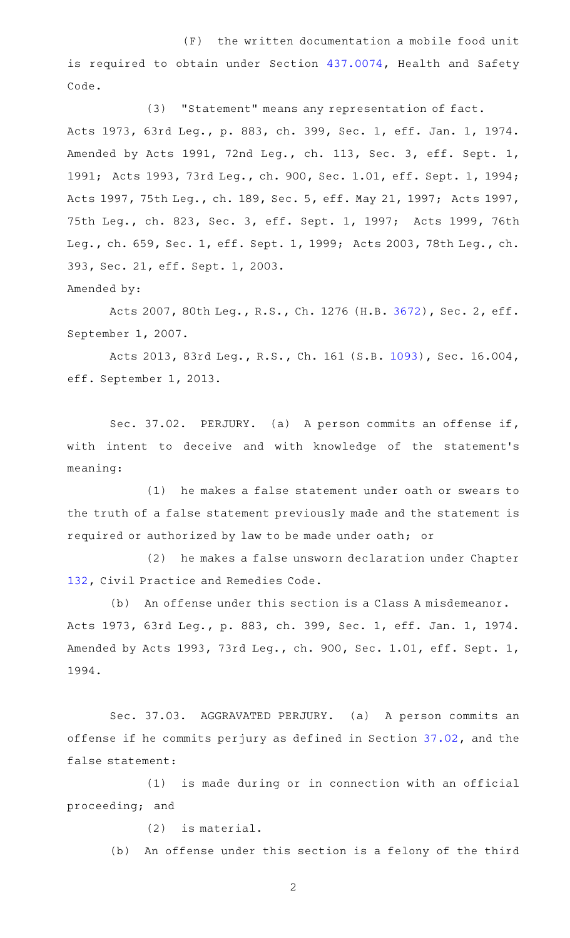$(F)$  the written documentation a mobile food unit is required to obtain under Section [437.0074](http://www.statutes.legis.state.tx.us/GetStatute.aspx?Code=HS&Value=437.0074), Health and Safety Code.

(3) "Statement" means any representation of fact. Acts 1973, 63rd Leg., p. 883, ch. 399, Sec. 1, eff. Jan. 1, 1974. Amended by Acts 1991, 72nd Leg., ch. 113, Sec. 3, eff. Sept. 1, 1991; Acts 1993, 73rd Leg., ch. 900, Sec. 1.01, eff. Sept. 1, 1994; Acts 1997, 75th Leg., ch. 189, Sec. 5, eff. May 21, 1997; Acts 1997, 75th Leg., ch. 823, Sec. 3, eff. Sept. 1, 1997; Acts 1999, 76th Leg., ch. 659, Sec. 1, eff. Sept. 1, 1999; Acts 2003, 78th Leg., ch. 393, Sec. 21, eff. Sept. 1, 2003. Amended by:

Acts 2007, 80th Leg., R.S., Ch. 1276 (H.B. [3672](http://www.legis.state.tx.us/tlodocs/80R/billtext/html/HB03672F.HTM)), Sec. 2, eff. September 1, 2007.

Acts 2013, 83rd Leg., R.S., Ch. 161 (S.B. [1093\)](http://www.legis.state.tx.us/tlodocs/83R/billtext/html/SB01093F.HTM), Sec. 16.004, eff. September 1, 2013.

Sec. 37.02. PERJURY. (a) A person commits an offense if, with intent to deceive and with knowledge of the statement's meaning:

(1) he makes a false statement under oath or swears to the truth of a false statement previously made and the statement is required or authorized by law to be made under oath; or

(2) he makes a false unsworn declaration under Chapter [132,](http://www.statutes.legis.state.tx.us/GetStatute.aspx?Code=CP&Value=132) Civil Practice and Remedies Code.

(b) An offense under this section is a Class A misdemeanor. Acts 1973, 63rd Leg., p. 883, ch. 399, Sec. 1, eff. Jan. 1, 1974. Amended by Acts 1993, 73rd Leg., ch. 900, Sec. 1.01, eff. Sept. 1, 1994.

Sec. 37.03. AGGRAVATED PERJURY. (a) A person commits an offense if he commits perjury as defined in Section [37.02](http://www.statutes.legis.state.tx.us/GetStatute.aspx?Code=PE&Value=37.02), and the false statement:

(1) is made during or in connection with an official proceeding; and

 $(2)$  is material.

(b) An offense under this section is a felony of the third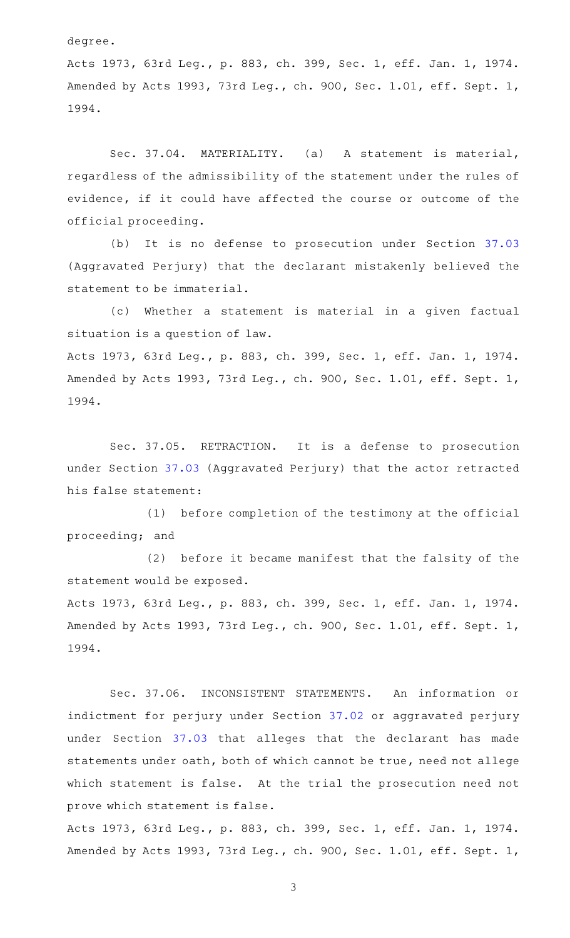degree.

Acts 1973, 63rd Leg., p. 883, ch. 399, Sec. 1, eff. Jan. 1, 1974. Amended by Acts 1993, 73rd Leg., ch. 900, Sec. 1.01, eff. Sept. 1, 1994.

Sec. 37.04. MATERIALITY. (a) A statement is material, regardless of the admissibility of the statement under the rules of evidence, if it could have affected the course or outcome of the official proceeding.

(b) It is no defense to prosecution under Section [37.03](http://www.statutes.legis.state.tx.us/GetStatute.aspx?Code=PE&Value=37.03) (Aggravated Perjury) that the declarant mistakenly believed the statement to be immaterial.

(c) Whether a statement is material in a given factual situation is a question of law.

Acts 1973, 63rd Leg., p. 883, ch. 399, Sec. 1, eff. Jan. 1, 1974. Amended by Acts 1993, 73rd Leg., ch. 900, Sec. 1.01, eff. Sept. 1, 1994.

Sec. 37.05. RETRACTION. It is a defense to prosecution under Section [37.03](http://www.statutes.legis.state.tx.us/GetStatute.aspx?Code=PE&Value=37.03) (Aggravated Perjury) that the actor retracted his false statement:

(1) before completion of the testimony at the official proceeding; and

(2) before it became manifest that the falsity of the statement would be exposed.

Acts 1973, 63rd Leg., p. 883, ch. 399, Sec. 1, eff. Jan. 1, 1974. Amended by Acts 1993, 73rd Leg., ch. 900, Sec. 1.01, eff. Sept. 1, 1994.

Sec. 37.06. INCONSISTENT STATEMENTS. An information or indictment for perjury under Section [37.02](http://www.statutes.legis.state.tx.us/GetStatute.aspx?Code=PE&Value=37.02) or aggravated perjury under Section [37.03](http://www.statutes.legis.state.tx.us/GetStatute.aspx?Code=PE&Value=37.03) that alleges that the declarant has made statements under oath, both of which cannot be true, need not allege which statement is false. At the trial the prosecution need not prove which statement is false.

Acts 1973, 63rd Leg., p. 883, ch. 399, Sec. 1, eff. Jan. 1, 1974. Amended by Acts 1993, 73rd Leg., ch. 900, Sec. 1.01, eff. Sept. 1,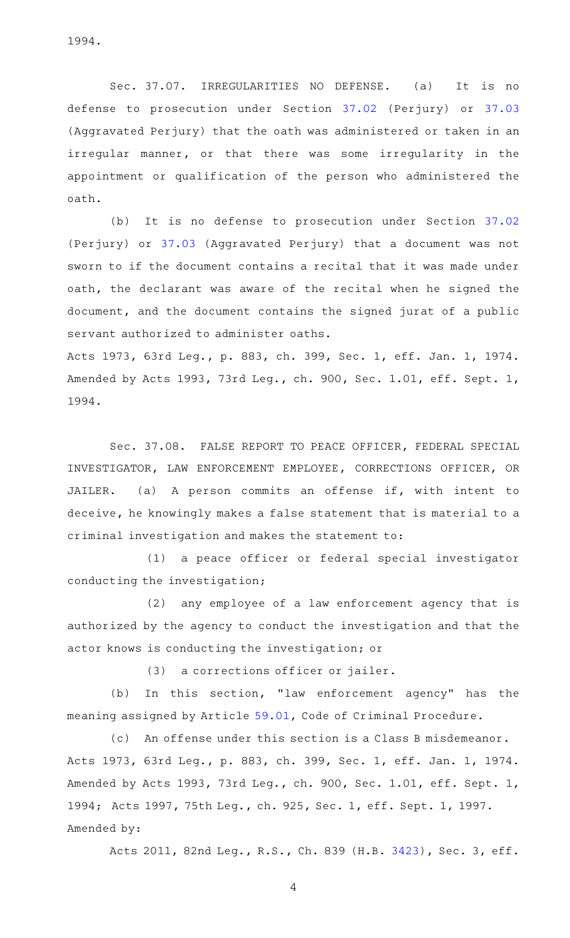1994.

Sec. 37.07. IRREGULARITIES NO DEFENSE. (a) It is no defense to prosecution under Section [37.02](http://www.statutes.legis.state.tx.us/GetStatute.aspx?Code=PE&Value=37.02) (Perjury) or [37.03](http://www.statutes.legis.state.tx.us/GetStatute.aspx?Code=PE&Value=37.03) (Aggravated Perjury) that the oath was administered or taken in an irregular manner, or that there was some irregularity in the appointment or qualification of the person who administered the oath.

(b) It is no defense to prosecution under Section [37.02](http://www.statutes.legis.state.tx.us/GetStatute.aspx?Code=PE&Value=37.02) (Perjury) or [37.03](http://www.statutes.legis.state.tx.us/GetStatute.aspx?Code=PE&Value=37.03) (Aggravated Perjury) that a document was not sworn to if the document contains a recital that it was made under oath, the declarant was aware of the recital when he signed the document, and the document contains the signed jurat of a public servant authorized to administer oaths.

Acts 1973, 63rd Leg., p. 883, ch. 399, Sec. 1, eff. Jan. 1, 1974. Amended by Acts 1993, 73rd Leg., ch. 900, Sec. 1.01, eff. Sept. 1, 1994.

Sec. 37.08. FALSE REPORT TO PEACE OFFICER, FEDERAL SPECIAL INVESTIGATOR, LAW ENFORCEMENT EMPLOYEE, CORRECTIONS OFFICER, OR JAILER. (a) A person commits an offense if, with intent to deceive, he knowingly makes a false statement that is material to a criminal investigation and makes the statement to:

(1) a peace officer or federal special investigator conducting the investigation;

(2) any employee of a law enforcement agency that is authorized by the agency to conduct the investigation and that the actor knows is conducting the investigation; or

 $(3)$  a corrections officer or jailer.

(b) In this section, "law enforcement agency" has the meaning assigned by Article [59.01,](http://www.statutes.legis.state.tx.us/GetStatute.aspx?Code=CR&Value=59.01) Code of Criminal Procedure.

(c) An offense under this section is a Class B misdemeanor. Acts 1973, 63rd Leg., p. 883, ch. 399, Sec. 1, eff. Jan. 1, 1974. Amended by Acts 1993, 73rd Leg., ch. 900, Sec. 1.01, eff. Sept. 1, 1994; Acts 1997, 75th Leg., ch. 925, Sec. 1, eff. Sept. 1, 1997. Amended by:

Acts 2011, 82nd Leg., R.S., Ch. 839 (H.B. [3423](http://www.legis.state.tx.us/tlodocs/82R/billtext/html/HB03423F.HTM)), Sec. 3, eff.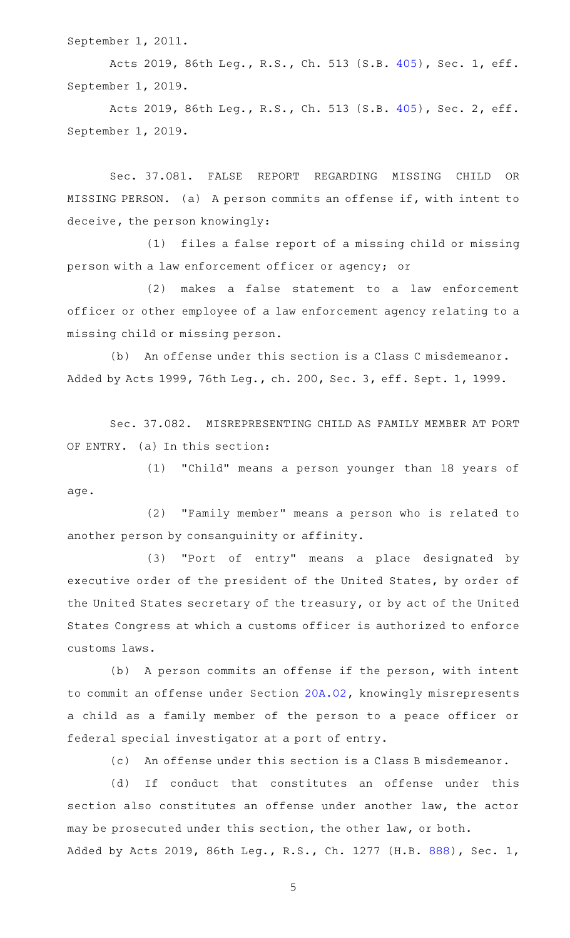September 1, 2011.

Acts 2019, 86th Leg., R.S., Ch. 513 (S.B. [405](http://www.legis.state.tx.us/tlodocs/86R/billtext/html/SB00405F.HTM)), Sec. 1, eff. September 1, 2019.

Acts 2019, 86th Leg., R.S., Ch. 513 (S.B. [405](http://www.legis.state.tx.us/tlodocs/86R/billtext/html/SB00405F.HTM)), Sec. 2, eff. September 1, 2019.

Sec. 37.081. FALSE REPORT REGARDING MISSING CHILD OR MISSING PERSON. (a) A person commits an offense if, with intent to deceive, the person knowingly:

(1) files a false report of a missing child or missing person with a law enforcement officer or agency; or

(2) makes a false statement to a law enforcement officer or other employee of a law enforcement agency relating to a missing child or missing person.

(b) An offense under this section is a Class C misdemeanor. Added by Acts 1999, 76th Leg., ch. 200, Sec. 3, eff. Sept. 1, 1999.

Sec. 37.082. MISREPRESENTING CHILD AS FAMILY MEMBER AT PORT OF ENTRY. (a) In this section:

(1) "Child" means a person younger than 18 years of age.

(2) "Family member" means a person who is related to another person by consanguinity or affinity.

(3) "Port of entry" means a place designated by executive order of the president of the United States, by order of the United States secretary of the treasury, or by act of the United States Congress at which a customs officer is authorized to enforce customs laws.

(b) A person commits an offense if the person, with intent to commit an offense under Section [20A.02](http://www.statutes.legis.state.tx.us/GetStatute.aspx?Code=PE&Value=20A.02), knowingly misrepresents a child as a family member of the person to a peace officer or federal special investigator at a port of entry.

(c) An offense under this section is a Class B misdemeanor.

(d) If conduct that constitutes an offense under this section also constitutes an offense under another law, the actor may be prosecuted under this section, the other law, or both. Added by Acts 2019, 86th Leg., R.S., Ch. 1277 (H.B. [888](http://www.legis.state.tx.us/tlodocs/86R/billtext/html/HB00888F.HTM)), Sec. 1,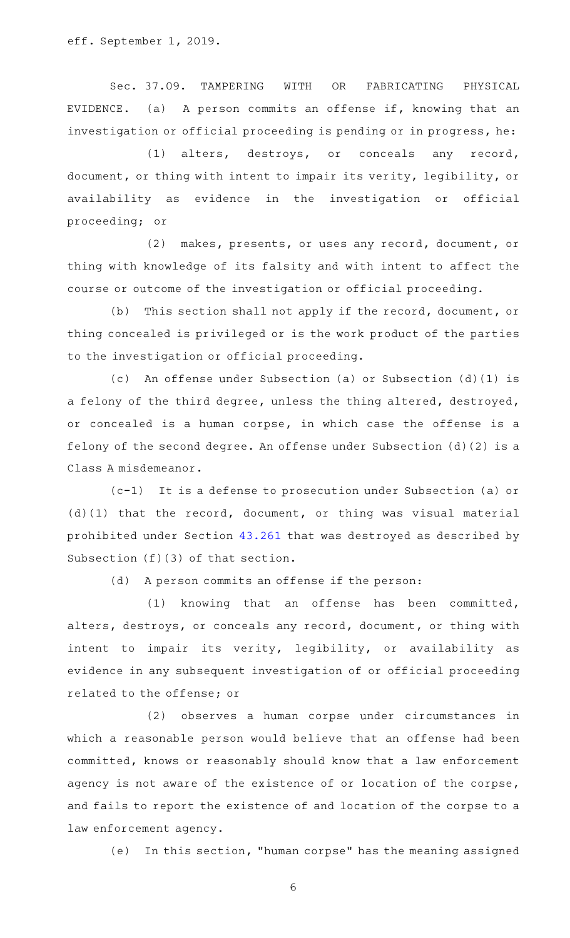eff. September 1, 2019.

Sec. 37.09. TAMPERING WITH OR FABRICATING PHYSICAL EVIDENCE. (a) A person commits an offense if, knowing that an investigation or official proceeding is pending or in progress, he:

(1) alters, destroys, or conceals any record, document, or thing with intent to impair its verity, legibility, or availability as evidence in the investigation or official proceeding; or

(2) makes, presents, or uses any record, document, or thing with knowledge of its falsity and with intent to affect the course or outcome of the investigation or official proceeding.

(b) This section shall not apply if the record, document, or thing concealed is privileged or is the work product of the parties to the investigation or official proceeding.

(c) An offense under Subsection (a) or Subsection (d)(1) is a felony of the third degree, unless the thing altered, destroyed, or concealed is a human corpse, in which case the offense is a felony of the second degree. An offense under Subsection (d)(2) is a Class A misdemeanor.

(c-1) It is a defense to prosecution under Subsection (a) or (d)(1) that the record, document, or thing was visual material prohibited under Section [43.261](http://www.statutes.legis.state.tx.us/GetStatute.aspx?Code=PE&Value=43.261) that was destroyed as described by Subsection (f)(3) of that section.

(d) A person commits an offense if the person:

(1) knowing that an offense has been committed, alters, destroys, or conceals any record, document, or thing with intent to impair its verity, legibility, or availability as evidence in any subsequent investigation of or official proceeding related to the offense; or

(2) observes a human corpse under circumstances in which a reasonable person would believe that an offense had been committed, knows or reasonably should know that a law enforcement agency is not aware of the existence of or location of the corpse, and fails to report the existence of and location of the corpse to a law enforcement agency.

(e) In this section, "human corpse" has the meaning assigned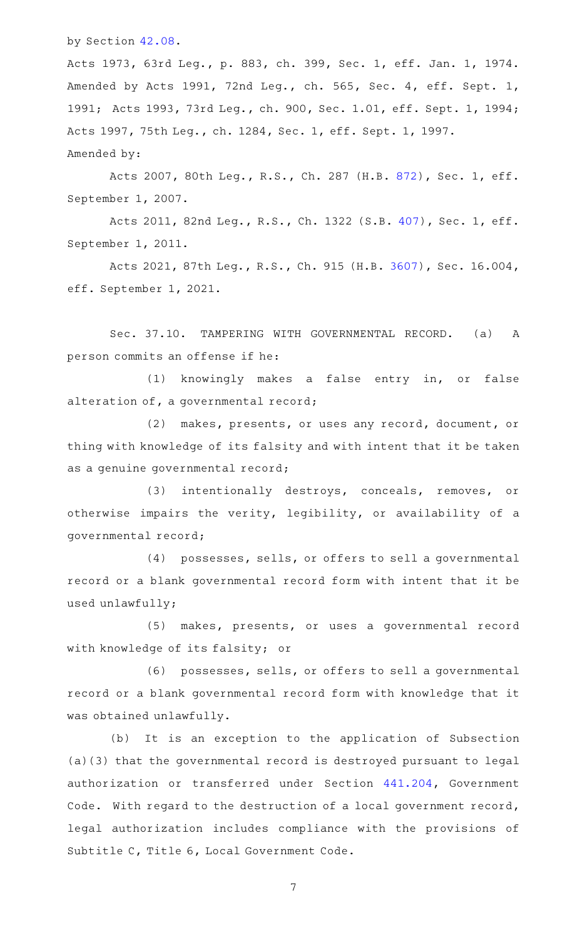by Section [42.08.](http://www.statutes.legis.state.tx.us/GetStatute.aspx?Code=PE&Value=42.08)

Acts 1973, 63rd Leg., p. 883, ch. 399, Sec. 1, eff. Jan. 1, 1974. Amended by Acts 1991, 72nd Leg., ch. 565, Sec. 4, eff. Sept. 1, 1991; Acts 1993, 73rd Leg., ch. 900, Sec. 1.01, eff. Sept. 1, 1994; Acts 1997, 75th Leg., ch. 1284, Sec. 1, eff. Sept. 1, 1997. Amended by:

Acts 2007, 80th Leg., R.S., Ch. 287 (H.B. [872](http://www.legis.state.tx.us/tlodocs/80R/billtext/html/HB00872F.HTM)), Sec. 1, eff. September 1, 2007.

Acts 2011, 82nd Leg., R.S., Ch. 1322 (S.B. [407](http://www.legis.state.tx.us/tlodocs/82R/billtext/html/SB00407F.HTM)), Sec. 1, eff. September 1, 2011.

Acts 2021, 87th Leg., R.S., Ch. 915 (H.B. [3607\)](http://www.legis.state.tx.us/tlodocs/87R/billtext/html/HB03607F.HTM), Sec. 16.004, eff. September 1, 2021.

Sec. 37.10. TAMPERING WITH GOVERNMENTAL RECORD. (a) A person commits an offense if he:

(1) knowingly makes a false entry in, or false alteration of, a governmental record;

(2) makes, presents, or uses any record, document, or thing with knowledge of its falsity and with intent that it be taken as a genuine governmental record;

(3) intentionally destroys, conceals, removes, or otherwise impairs the verity, legibility, or availability of a governmental record;

(4) possesses, sells, or offers to sell a governmental record or a blank governmental record form with intent that it be used unlawfully;

(5) makes, presents, or uses a governmental record with knowledge of its falsity; or

(6) possesses, sells, or offers to sell a governmental record or a blank governmental record form with knowledge that it was obtained unlawfully.

(b) It is an exception to the application of Subsection (a)(3) that the governmental record is destroyed pursuant to legal authorization or transferred under Section [441.204](http://www.statutes.legis.state.tx.us/GetStatute.aspx?Code=GV&Value=441.204), Government Code. With regard to the destruction of a local government record, legal authorization includes compliance with the provisions of Subtitle C, Title 6, Local Government Code.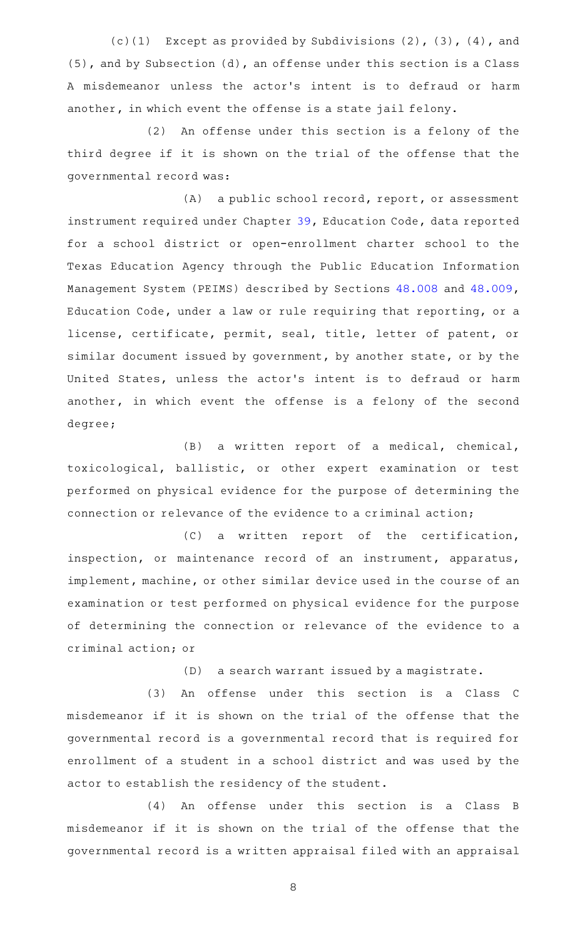(c)(1) Except as provided by Subdivisions  $(2)$ ,  $(3)$ ,  $(4)$ , and (5), and by Subsection (d), an offense under this section is a Class A misdemeanor unless the actor 's intent is to defraud or harm another, in which event the offense is a state jail felony.

(2) An offense under this section is a felony of the third degree if it is shown on the trial of the offense that the governmental record was:

(A) a public school record, report, or assessment instrument required under Chapter [39,](http://www.statutes.legis.state.tx.us/GetStatute.aspx?Code=ED&Value=39) Education Code, data reported for a school district or open-enrollment charter school to the Texas Education Agency through the Public Education Information Management System (PEIMS) described by Sections [48.008](http://www.statutes.legis.state.tx.us/GetStatute.aspx?Code=ED&Value=48.008) and [48.009](http://www.statutes.legis.state.tx.us/GetStatute.aspx?Code=ED&Value=48.009), Education Code, under a law or rule requiring that reporting, or a license, certificate, permit, seal, title, letter of patent, or similar document issued by government, by another state, or by the United States, unless the actor 's intent is to defraud or harm another, in which event the offense is a felony of the second degree;

(B) a written report of a medical, chemical, toxicological, ballistic, or other expert examination or test performed on physical evidence for the purpose of determining the connection or relevance of the evidence to a criminal action;

(C) a written report of the certification, inspection, or maintenance record of an instrument, apparatus, implement, machine, or other similar device used in the course of an examination or test performed on physical evidence for the purpose of determining the connection or relevance of the evidence to a criminal action; or

(D) a search warrant issued by a magistrate.

(3) An offense under this section is a Class C misdemeanor if it is shown on the trial of the offense that the governmental record is a governmental record that is required for enrollment of a student in a school district and was used by the actor to establish the residency of the student.

(4) An offense under this section is a Class B misdemeanor if it is shown on the trial of the offense that the governmental record is a written appraisal filed with an appraisal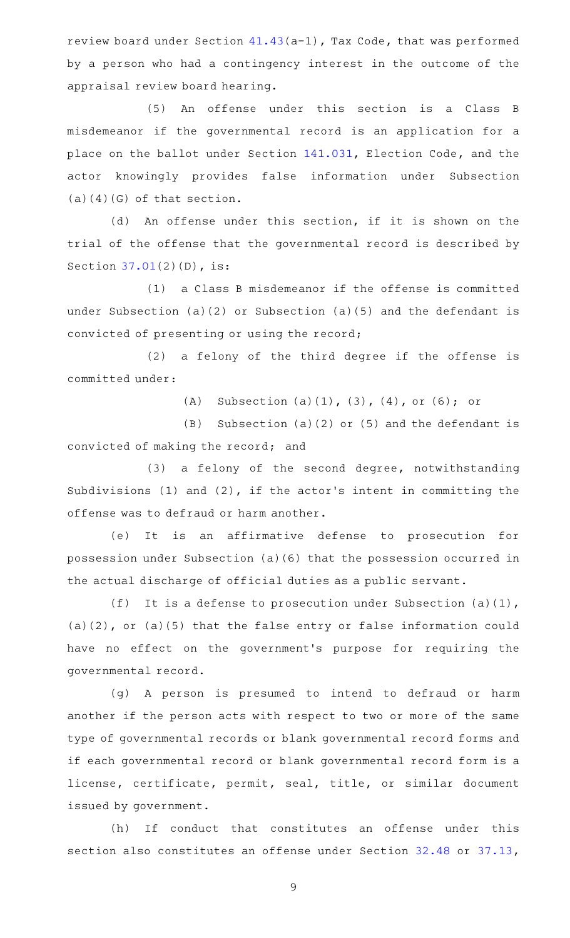review board under Section [41.43\(](http://www.statutes.legis.state.tx.us/GetStatute.aspx?Code=TX&Value=41.43)a-1), Tax Code, that was performed by a person who had a contingency interest in the outcome of the appraisal review board hearing.

(5) An offense under this section is a Class B misdemeanor if the governmental record is an application for a place on the ballot under Section [141.031,](http://www.statutes.legis.state.tx.us/GetStatute.aspx?Code=EL&Value=141.031) Election Code, and the actor knowingly provides false information under Subsection  $(a)(4)(G)$  of that section.

(d) An offense under this section, if it is shown on the trial of the offense that the governmental record is described by Section [37.01\(](http://www.statutes.legis.state.tx.us/GetStatute.aspx?Code=PE&Value=37.01)2)(D), is:

(1) a Class B misdemeanor if the offense is committed under Subsection (a)(2) or Subsection (a)(5) and the defendant is convicted of presenting or using the record;

(2) a felony of the third degree if the offense is committed under:

(A) Subsection  $(a)(1)$ ,  $(3)$ ,  $(4)$ , or  $(6)$ ; or

 $(B)$  Subsection (a)(2) or (5) and the defendant is convicted of making the record; and

(3) a felony of the second degree, notwithstanding Subdivisions (1) and (2), if the actor 's intent in committing the offense was to defraud or harm another.

(e) It is an affirmative defense to prosecution for possession under Subsection (a)(6) that the possession occurred in the actual discharge of official duties as a public servant.

(f) It is a defense to prosecution under Subsection (a)(1), (a)(2), or (a)(5) that the false entry or false information could have no effect on the government 's purpose for requiring the governmental record.

(g)AAA person is presumed to intend to defraud or harm another if the person acts with respect to two or more of the same type of governmental records or blank governmental record forms and if each governmental record or blank governmental record form is a license, certificate, permit, seal, title, or similar document issued by government.

(h) If conduct that constitutes an offense under this section also constitutes an offense under Section [32.48](http://www.statutes.legis.state.tx.us/GetStatute.aspx?Code=PE&Value=32.48) or [37.13](http://www.statutes.legis.state.tx.us/GetStatute.aspx?Code=PE&Value=37.13),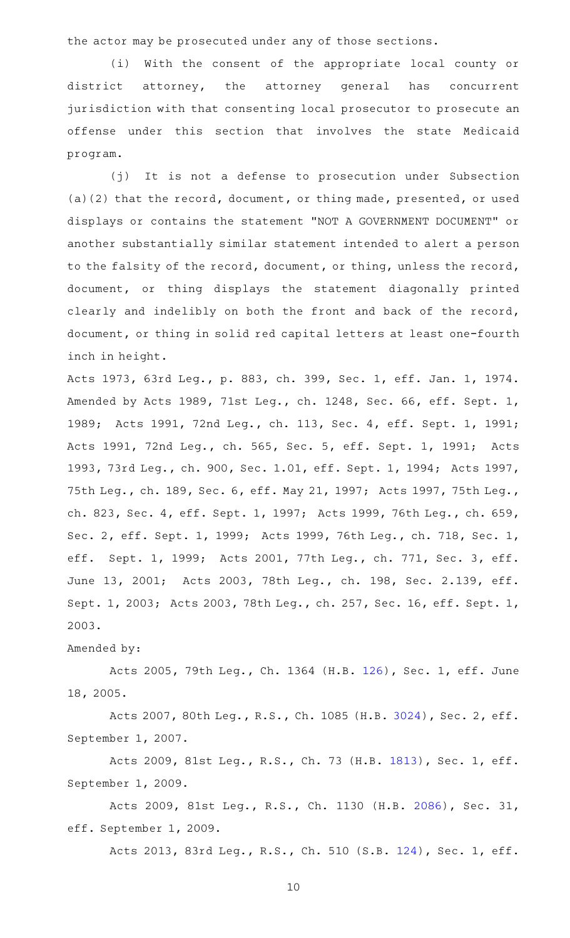the actor may be prosecuted under any of those sections.

(i) With the consent of the appropriate local county or district attorney, the attorney general has concurrent jurisdiction with that consenting local prosecutor to prosecute an offense under this section that involves the state Medicaid program.

(j) It is not a defense to prosecution under Subsection (a)(2) that the record, document, or thing made, presented, or used displays or contains the statement "NOT A GOVERNMENT DOCUMENT" or another substantially similar statement intended to alert a person to the falsity of the record, document, or thing, unless the record, document, or thing displays the statement diagonally printed clearly and indelibly on both the front and back of the record, document, or thing in solid red capital letters at least one-fourth inch in height.

Acts 1973, 63rd Leg., p. 883, ch. 399, Sec. 1, eff. Jan. 1, 1974. Amended by Acts 1989, 71st Leg., ch. 1248, Sec. 66, eff. Sept. 1, 1989; Acts 1991, 72nd Leg., ch. 113, Sec. 4, eff. Sept. 1, 1991; Acts 1991, 72nd Leg., ch. 565, Sec. 5, eff. Sept. 1, 1991; Acts 1993, 73rd Leg., ch. 900, Sec. 1.01, eff. Sept. 1, 1994; Acts 1997, 75th Leg., ch. 189, Sec. 6, eff. May 21, 1997; Acts 1997, 75th Leg., ch. 823, Sec. 4, eff. Sept. 1, 1997; Acts 1999, 76th Leg., ch. 659, Sec. 2, eff. Sept. 1, 1999; Acts 1999, 76th Leg., ch. 718, Sec. 1, eff. Sept. 1, 1999; Acts 2001, 77th Leg., ch. 771, Sec. 3, eff. June 13, 2001; Acts 2003, 78th Leg., ch. 198, Sec. 2.139, eff. Sept. 1, 2003; Acts 2003, 78th Leg., ch. 257, Sec. 16, eff. Sept. 1, 2003.

## Amended by:

Acts 2005, 79th Leg., Ch. 1364 (H.B. [126\)](http://www.legis.state.tx.us/tlodocs/79R/billtext/html/HB00126F.HTM), Sec. 1, eff. June 18, 2005.

Acts 2007, 80th Leg., R.S., Ch. 1085 (H.B. [3024](http://www.legis.state.tx.us/tlodocs/80R/billtext/html/HB03024F.HTM)), Sec. 2, eff. September 1, 2007.

Acts 2009, 81st Leg., R.S., Ch. 73 (H.B. [1813](http://www.legis.state.tx.us/tlodocs/81R/billtext/html/HB01813F.HTM)), Sec. 1, eff. September 1, 2009.

Acts 2009, 81st Leg., R.S., Ch. 1130 (H.B. [2086](http://www.legis.state.tx.us/tlodocs/81R/billtext/html/HB02086F.HTM)), Sec. 31, eff. September 1, 2009.

Acts 2013, 83rd Leg., R.S., Ch. 510 (S.B. [124](http://www.legis.state.tx.us/tlodocs/83R/billtext/html/SB00124F.HTM)), Sec. 1, eff.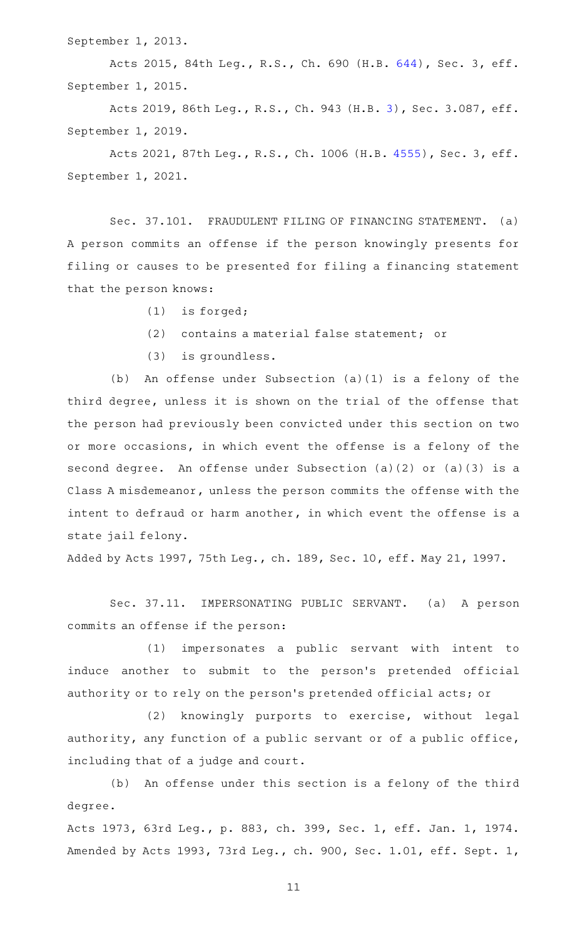September 1, 2013.

Acts 2015, 84th Leg., R.S., Ch. 690 (H.B. [644](http://www.legis.state.tx.us/tlodocs/84R/billtext/html/HB00644F.HTM)), Sec. 3, eff. September 1, 2015.

Acts 2019, 86th Leg., R.S., Ch. 943 (H.B. [3](http://www.legis.state.tx.us/tlodocs/86R/billtext/html/HB00003F.HTM)), Sec. 3.087, eff. September 1, 2019.

Acts 2021, 87th Leg., R.S., Ch. 1006 (H.B. [4555](http://www.legis.state.tx.us/tlodocs/87R/billtext/html/HB04555F.HTM)), Sec. 3, eff. September 1, 2021.

Sec. 37.101. FRAUDULENT FILING OF FINANCING STATEMENT. (a) A person commits an offense if the person knowingly presents for filing or causes to be presented for filing a financing statement that the person knows:

- $(1)$  is forged;
- (2) contains a material false statement; or
- $(3)$  is groundless.

(b) An offense under Subsection  $(a)(1)$  is a felony of the third degree, unless it is shown on the trial of the offense that the person had previously been convicted under this section on two or more occasions, in which event the offense is a felony of the second degree. An offense under Subsection (a)(2) or (a)(3) is a Class A misdemeanor, unless the person commits the offense with the intent to defraud or harm another, in which event the offense is a state jail felony.

Added by Acts 1997, 75th Leg., ch. 189, Sec. 10, eff. May 21, 1997.

Sec. 37.11. IMPERSONATING PUBLIC SERVANT. (a) A person commits an offense if the person:

(1) impersonates a public servant with intent to induce another to submit to the person's pretended official authority or to rely on the person 's pretended official acts; or

(2) knowingly purports to exercise, without legal authority, any function of a public servant or of a public office, including that of a judge and court.

(b) An offense under this section is a felony of the third degree.

Acts 1973, 63rd Leg., p. 883, ch. 399, Sec. 1, eff. Jan. 1, 1974. Amended by Acts 1993, 73rd Leg., ch. 900, Sec. 1.01, eff. Sept. 1,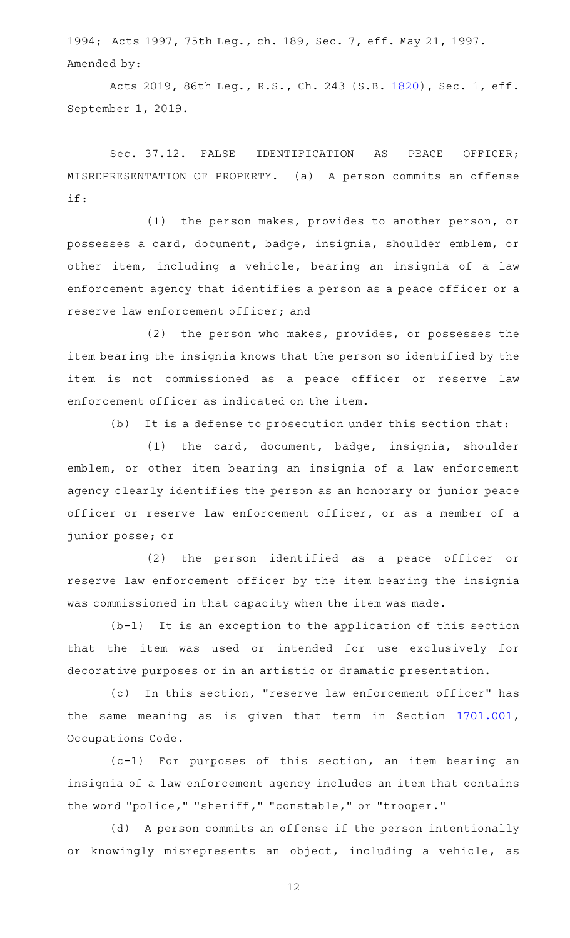1994; Acts 1997, 75th Leg., ch. 189, Sec. 7, eff. May 21, 1997. Amended by:

Acts 2019, 86th Leg., R.S., Ch. 243 (S.B. [1820](http://www.legis.state.tx.us/tlodocs/86R/billtext/html/SB01820F.HTM)), Sec. 1, eff. September 1, 2019.

Sec. 37.12. FALSE IDENTIFICATION AS PEACE OFFICER; MISREPRESENTATION OF PROPERTY. (a) A person commits an offense if:

 $(1)$  the person makes, provides to another person, or possesses a card, document, badge, insignia, shoulder emblem, or other item, including a vehicle, bearing an insignia of a law enforcement agency that identifies a person as a peace officer or a reserve law enforcement officer; and

(2) the person who makes, provides, or possesses the item bearing the insignia knows that the person so identified by the item is not commissioned as a peace officer or reserve law enforcement officer as indicated on the item.

 $(b)$  It is a defense to prosecution under this section that:

(1) the card, document, badge, insignia, shoulder emblem, or other item bearing an insignia of a law enforcement agency clearly identifies the person as an honorary or junior peace officer or reserve law enforcement officer, or as a member of a junior posse; or

(2) the person identified as a peace officer or reserve law enforcement officer by the item bearing the insignia was commissioned in that capacity when the item was made.

 $(b-1)$  It is an exception to the application of this section that the item was used or intended for use exclusively for decorative purposes or in an artistic or dramatic presentation.

(c) In this section, "reserve law enforcement officer" has the same meaning as is given that term in Section [1701.001](http://www.statutes.legis.state.tx.us/GetStatute.aspx?Code=OC&Value=1701.001), Occupations Code.

 $(c-1)$  For purposes of this section, an item bearing an insignia of a law enforcement agency includes an item that contains the word "police," "sheriff," "constable," or "trooper."

(d) A person commits an offense if the person intentionally or knowingly misrepresents an object, including a vehicle, as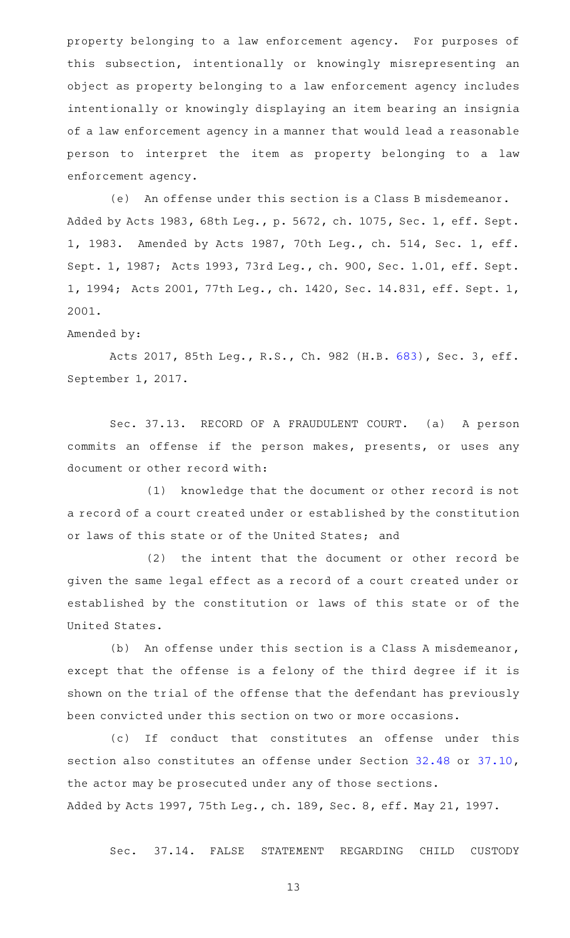property belonging to a law enforcement agency. For purposes of this subsection, intentionally or knowingly misrepresenting an object as property belonging to a law enforcement agency includes intentionally or knowingly displaying an item bearing an insignia of a law enforcement agency in a manner that would lead a reasonable person to interpret the item as property belonging to a law enforcement agency.

(e) An offense under this section is a Class B misdemeanor. Added by Acts 1983, 68th Leg., p. 5672, ch. 1075, Sec. 1, eff. Sept. 1, 1983. Amended by Acts 1987, 70th Leg., ch. 514, Sec. 1, eff. Sept. 1, 1987; Acts 1993, 73rd Leg., ch. 900, Sec. 1.01, eff. Sept. 1, 1994; Acts 2001, 77th Leg., ch. 1420, Sec. 14.831, eff. Sept. 1, 2001.

## Amended by:

Acts 2017, 85th Leg., R.S., Ch. 982 (H.B. [683](http://www.legis.state.tx.us/tlodocs/85R/billtext/html/HB00683F.HTM)), Sec. 3, eff. September 1, 2017.

Sec. 37.13. RECORD OF A FRAUDULENT COURT. (a) A person commits an offense if the person makes, presents, or uses any document or other record with:

(1) knowledge that the document or other record is not a record of a court created under or established by the constitution or laws of this state or of the United States; and

 $(2)$  the intent that the document or other record be given the same legal effect as a record of a court created under or established by the constitution or laws of this state or of the United States.

(b) An offense under this section is a Class A misdemeanor, except that the offense is a felony of the third degree if it is shown on the trial of the offense that the defendant has previously been convicted under this section on two or more occasions.

(c) If conduct that constitutes an offense under this section also constitutes an offense under Section [32.48](http://www.statutes.legis.state.tx.us/GetStatute.aspx?Code=PE&Value=32.48) or [37.10](http://www.statutes.legis.state.tx.us/GetStatute.aspx?Code=PE&Value=37.10), the actor may be prosecuted under any of those sections. Added by Acts 1997, 75th Leg., ch. 189, Sec. 8, eff. May 21, 1997.

Sec. 37.14. FALSE STATEMENT REGARDING CHILD CUSTODY